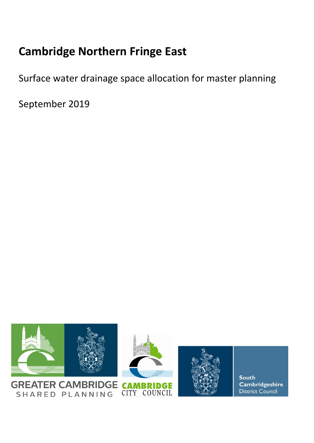# **Cambridge Northern Fringe East**

Surface water drainage space allocation for master planning

September 2019

SHARED PLANNING



Cambridgeshire District Council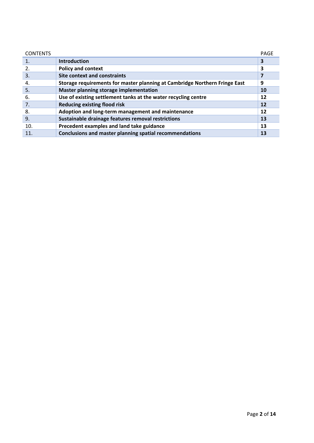| <b>CONTENTS</b> |                                                                            | PAGE |
|-----------------|----------------------------------------------------------------------------|------|
| 1.              | <b>Introduction</b>                                                        | 3    |
| 2.              | <b>Policy and context</b>                                                  | 3    |
| 3.              | <b>Site context and constraints</b>                                        |      |
| 4.              | Storage requirements for master planning at Cambridge Northern Fringe East | 9    |
| 5.              | Master planning storage implementation                                     | 10   |
| 6.              | Use of existing settlement tanks at the water recycling centre             | 12   |
| 7.              | <b>Reducing existing flood risk</b>                                        | 12   |
| 8.              | Adoption and long-term management and maintenance                          | 12   |
| 9.              | Sustainable drainage features removal restrictions                         | 13   |
| 10.             | Precedent examples and land take guidance                                  | 13   |
|                 | Conclusions and master planning spatial recommendations                    | 13   |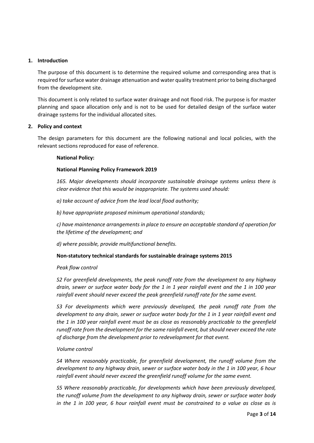## **1. Introduction**

The purpose of this document is to determine the required volume and corresponding area that is required forsurface water drainage attenuation and water quality treatment prior to being discharged from the development site.

This document is only related to surface water drainage and not flood risk. The purpose is for master planning and space allocation only and is not to be used for detailed design of the surface water drainage systems for the individual allocated sites.

## **2. Policy and context**

The design parameters for this document are the following national and local policies, with the relevant sections reproduced for ease of reference.

## **National Policy:**

## **National Planning Policy Framework 2019**

*165. Major developments should incorporate sustainable drainage systems unless there is clear evidence that this would be inappropriate. The systems used should:*

*a) take account of advice from the lead local flood authority;*

*b) have appropriate proposed minimum operational standards;*

*c) have maintenance arrangements in place to ensure an acceptable standard of operation for the lifetime of the development; and*

*d) where possible, provide multifunctional benefits.*

#### **Non‐statutory technical standards for sustainable drainage systems 2015**

#### *Peak flow control*

*S2 For greenfield developments, the peak runoff rate from the development to any highway* drain, sewer or surface water body for the 1 in 1 year rainfall event and the 1 in 100 year *rainfall event should never exceed the peak greenfield runoff rate for the same event.*

*S3 For developments which were previously developed, the peak runoff rate from the development to any drain, sewer or surface water body for the 1 in 1 year rainfall event and the 1 in 100 year rainfall event must be as close as reasonably practicable to the greenfield runoff rate from the development for the same rainfall event, but should never exceed the rate of discharge from the development prior to redevelopment for that event.*

#### *Volume control*

*S4 Where reasonably practicable, for greenfield development, the runoff volume from the development to any highway drain, sewer or surface water body in the 1 in 100 year, 6 hour rainfall event should never exceed the greenfield runoff volume for the same event.*

*S5 Where reasonably practicable, for developments which have been previously developed, the runoff volume from the development to any highway drain, sewer or surface water body* in the 1 in 100 year, 6 hour rainfall event must be constrained to a value as close as is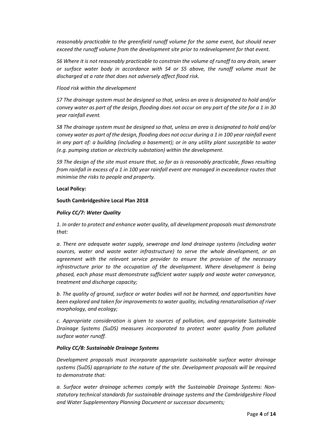*reasonably practicable to the greenfield runoff volume for the same event, but should never exceed the runoff volume from the development site prior to redevelopment for that event.*

*S6 Where it is not reasonably practicable to constrain the volume of runoff to any drain, sewer or surface water body in accordance with S4 or S5 above, the runoff volume must be discharged at a rate that does not adversely affect flood risk.*

# *Flood risk within the development*

*S7 The drainage system must be designed so that, unless an area is designated to hold and/or* convey water as part of the design, flooding does not occur on any part of the site for a 1 in 30 *year rainfall event.*

*S8 The drainage system must be designed so that, unless an area is designated to hold and/or* convey water as part of the design, flooding does not occur during a 1 in 100 year rainfall event *in any part of: a building (including a basement); or in any utility plant susceptible to water (e.g. pumping station or electricity substation) within the development.*

*S9 The design of the site must ensure that, so far as is reasonably practicable, flows resulting from rainfall in excess of a 1 in 100 year rainfall event are managed in exceedance routes that minimise the risks to people and property.*

## **Local Policy:**

## **South Cambridgeshire Local Plan 2018**

## *Policy CC/7: Water Quality*

*1. In order to protect and enhance water quality, all development proposals must demonstrate that:*

*a. There are adequate water supply, sewerage and land drainage systems (including water sources, water and waste water infrastructure) to serve the whole development, or an agreement with the relevant service provider to ensure the provision of the necessary infrastructure prior to the occupation of the development. Where development is being phased, each phase must demonstrate sufficient water supply and waste water conveyance, treatment and discharge capacity;*

*b. The quality of ground, surface or water bodies will not be harmed, and opportunities have been explored and taken for improvements to water quality, including renaturalisation of river morphology, and ecology;*

*c. Appropriate consideration is given to sources of pollution, and appropriate Sustainable Drainage Systems (SuDS) measures incorporated to protect water quality from polluted surface water runoff.*

#### *Policy CC/8: Sustainable Drainage Systems*

*Development proposals must incorporate appropriate sustainable surface water drainage systems (SuDS) appropriate to the nature of the site. Development proposals will be required to demonstrate that:*

*a. Surface water drainage schemes comply with the Sustainable Drainage Systems: Non‐ statutory technical standards for sustainable drainage systems and the Cambridgeshire Flood and Water Supplementary Planning Document or successor documents;*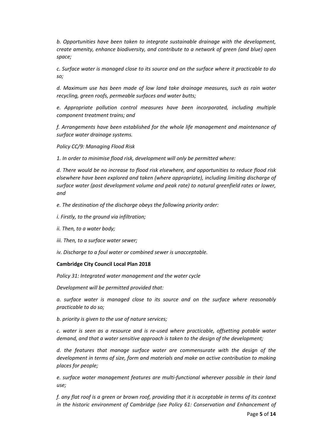*b. Opportunities have been taken to integrate sustainable drainage with the development, create amenity, enhance biodiversity, and contribute to a network of green (and blue) open space;*

*c. Surface water is managed close to its source and on the surface where it practicable to do so;*

*d. Maximum use has been made of low land take drainage measures, such as rain water recycling, green roofs, permeable surfaces and water butts;*

*e. Appropriate pollution control measures have been incorporated, including multiple component treatment trains; and*

*f. Arrangements have been established for the whole life management and maintenance of surface water drainage systems.*

*Policy CC/9: Managing Flood Risk*

*1. In order to minimise flood risk, development will only be permitted where:*

*d. There would be no increase to flood risk elsewhere, and opportunities to reduce flood risk elsewhere have been explored and taken (where appropriate), including limiting discharge of surface water (post development volume and peak rate) to natural greenfield rates or lower, and*

*e. The destination of the discharge obeys the following priority order:*

- *i. Firstly, to the ground via infiltration;*
- *ii. Then, to a water body;*
- *iii. Then, to a surface water sewer;*

*iv. Discharge to a foul water or combined sewer is unacceptable.*

#### **Cambridge City Council Local Plan 2018**

*Policy 31: Integrated water management and the water cycle*

*Development will be permitted provided that:*

*a. surface water is managed close to its source and on the surface where reasonably practicable to do so;*

*b. priority is given to the use of nature services;*

*c. water is seen as a resource and is re‐used where practicable, offsetting potable water demand, and that a water sensitive approach is taken to the design of the development;*

*d. the features that manage surface water are commensurate with the design of the development in terms of size, form and materials and make an active contribution to making places for people;*

*e. surface water management features are multi‐functional wherever possible in their land use;*

f. any flat roof is a green or brown roof, providing that it is acceptable in terms of its context *in the historic environment of Cambridge (see Policy 61: Conservation and Enhancement of*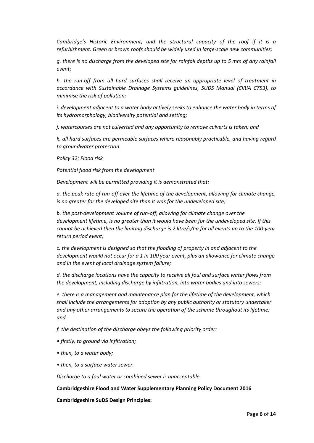*Cambridge's Historic Environment) and the structural capacity of the roof if it is a refurbishment. Green or brown roofs should be widely used in large‐scale new communities;*

q. there is no discharge from the developed site for rainfall depths up to 5 mm of any rainfall *event;*

*h. the run‐off from all hard surfaces shall receive an appropriate level of treatment in accordance with Sustainable Drainage Systems guidelines, SUDS Manual (CIRIA C753), to minimise the risk of pollution;*

*i. development adjacent to a water body actively seeks to enhance the water body in terms of its hydromorphology, biodiversity potential and setting;*

*j. watercourses are not culverted and any opportunity to remove culverts is taken; and*

*k. all hard surfaces are permeable surfaces where reasonably practicable, and having regard to groundwater protection.*

*Policy 32: Flood risk*

*Potential flood risk from the development*

*Development will be permitted providing it is demonstrated that:*

*a. the peak rate of run‐off over the lifetime of the development, allowing for climate change, is no greater for the developed site than it was for the undeveloped site;*

*b. the post‐development volume of run‐off, allowing for climate change over the development lifetime, is no greater than it would have been for the undeveloped site. If this cannot be achieved then the limiting discharge is 2 litre/s/ha for all events up to the 100‐year return period event;*

*c. the development is designed so that the flooding of property in and adjacent to the development would not occur for a 1 in 100 year event, plus an allowance for climate change and in the event of local drainage system failure;*

*d. the discharge locations have the capacity to receive all foul and surface water flows from the development, including discharge by infiltration, into water bodies and into sewers;*

*e. there is a management and maintenance plan for the lifetime of the development, which shall include the arrangements for adoption by any public authority or statutory undertaker and any other arrangements to secure the operation of the scheme throughout its lifetime; and*

*f. the destination of the discharge obeys the following priority order:*

*• firstly, to ground via infiltration;*

- *• then, to a water body;*
- *• then, to a surface water sewer.*

*Discharge to a foul water or combined sewer is unacceptable.*

#### **Cambridgeshire Flood and Water Supplementary Planning Policy Document 2016**

**Cambridgeshire SuDS Design Principles:**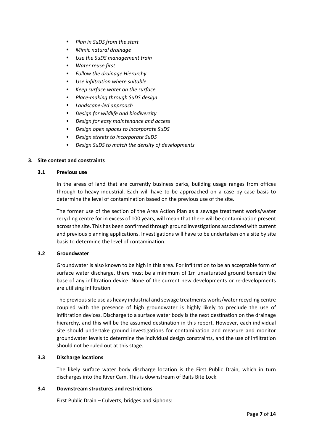- *Plan in SuDS from the start*
- *Mimic natural drainage*
- *Use the SuDS management train*
- *Water reuse first*
- *Follow the drainage Hierarchy*
- *Use infiltration where suitable*
- *Keep surface water on the surface*
- *Place‐making through SuDS design*
- *Landscape‐led approach*
- *Design for wildlife and biodiversity*
- *Design for easy maintenance and access*
- *Design open spaces to incorporate SuDS*
- *Design streets to incorporate SuDS*
- *Design SuDS to match the density of developments*

# **3. Site context and constraints**

## **3.1 Previous use**

In the areas of land that are currently business parks, building usage ranges from offices through to heavy industrial. Each will have to be approached on a case by case basis to determine the level of contamination based on the previous use of the site.

The former use of the section of the Area Action Plan as a sewage treatment works/water recycling centre for in excess of 100 years, will mean that there will be contamination present acrossthe site. This has been confirmed through ground investigations associated with current and previous planning applications. Investigations will have to be undertaken on a site by site basis to determine the level of contamination.

# **3.2 Groundwater**

Groundwater is also known to be high in this area. For infiltration to be an acceptable form of surface water discharge, there must be a minimum of 1m unsaturated ground beneath the base of any infiltration device. None of the current new developments or re‐developments are utilising infiltration.

The previous site use as heavy industrial and sewage treatments works/water recycling centre coupled with the presence of high groundwater is highly likely to preclude the use of infiltration devices. Discharge to a surface water body is the next destination on the drainage hierarchy, and this will be the assumed destination in this report. However, each individual site should undertake ground investigations for contamination and measure and monitor groundwater levels to determine the individual design constraints, and the use of infiltration should not be ruled out at this stage.

# **3.3 Discharge locations**

The likely surface water body discharge location is the First Public Drain, which in turn discharges into the River Cam. This is downstream of Baits Bite Lock.

# **3.4 Downstream structures and restrictions**

First Public Drain – Culverts, bridges and siphons: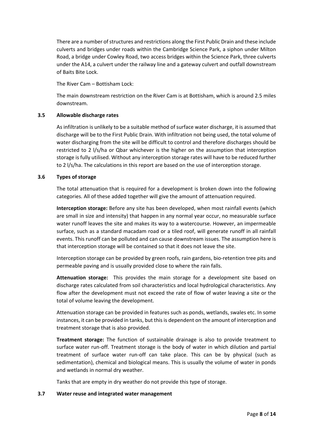There are a number of structures and restrictions along the First Public Drain and these include culverts and bridges under roads within the Cambridge Science Park, a siphon under Milton Road, a bridge under Cowley Road, two access bridges within the Science Park, three culverts under the A14, a culvert under the railway line and a gateway culvert and outfall downstream of Baits Bite Lock.

The River Cam – Bottisham Lock:

The main downstream restriction on the River Cam is at Bottisham, which is around 2.5 miles downstream.

# **3.5 Allowable discharge rates**

As infiltration is unlikely to be a suitable method of surface water discharge, it is assumed that discharge will be to the First Public Drain. With infiltration not being used, the total volume of water discharging from the site will be difficult to control and therefore discharges should be restricted to 2 l/s/ha or Qbar whichever is the higher on the assumption that interception storage is fully utilised. Without any interception storage rates will have to be reduced further to 2 l/s/ha. The calculations in this report are based on the use of interception storage.

## **3.6 Types of storage**

The total attenuation that is required for a development is broken down into the following categories. All of these added together will give the amount of attenuation required.

**Interception storage:** Before any site has been developed, when most rainfall events (which are small in size and intensity) that happen in any normal year occur, no measurable surface water runoff leaves the site and makes its way to a watercourse. However, an impermeable surface, such as a standard macadam road or a tiled roof, will generate runoff in all rainfall events. This runoff can be polluted and can cause downstream issues. The assumption here is that interception storage will be contained so that it does not leave the site.

Interception storage can be provided by green roofs, rain gardens, bio‐retention tree pits and permeable paving and is usually provided close to where the rain falls.

**Attenuation storage:** This provides the main storage for a development site based on discharge rates calculated from soil characteristics and local hydrological characteristics. Any flow after the development must not exceed the rate of flow of water leaving a site or the total of volume leaving the development.

Attenuation storage can be provided in features such as ponds, wetlands, swales etc. In some instances, it can be provided in tanks, but thisis dependent on the amount of interception and treatment storage that is also provided.

**Treatment storage:** The function of sustainable drainage is also to provide treatment to surface water run‐off. Treatment storage is the body of water in which dilution and partial treatment of surface water run‐off can take place. This can be by physical (such as sedimentation), chemical and biological means. This is usually the volume of water in ponds and wetlands in normal dry weather.

Tanks that are empty in dry weather do not provide this type of storage.

#### **3.7 Water reuse and integrated water management**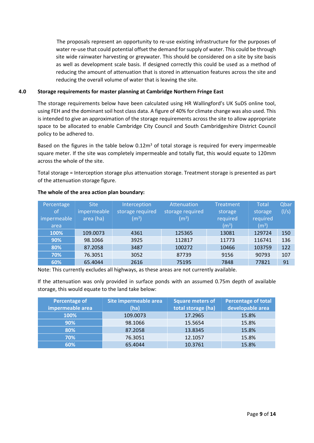The proposals represent an opportunity to re-use existing infrastructure for the purposes of water re-use that could potential offset the demand for supply of water. This could be through site wide rainwater harvesting or greywater. This should be considered on a site by site basis as well as development scale basis. If designed correctly this could be used as a method of reducing the amount of attenuation that is stored in attenuation features across the site and reducing the overall volume of water that is leaving the site.

# **4.0 Storage requirements for master planning at Cambridge Northern Fringe East**

The storage requirements below have been calculated using HR Wallingford's UK SuDS online tool, using FEH and the dominant soil host class data. A figure of 40% for climate change was also used. This is intended to give an approximation of the storage requirements across the site to allow appropriate space to be allocated to enable Cambridge City Council and South Cambridgeshire District Council policy to be adhered to.

Based on the figures in the table below  $0.12\,\mathrm{m}^3$  of total storage is required for every impermeable square meter. If the site was completely impermeable and totally flat, this would equate to 120mm across the whole of the site.

Total storage = Interception storage plus attenuation storage. Treatment storage is presented as part of the attenuation storage figure.

| Percentage<br>of/<br>impermeable | <b>Site</b><br>impermeable<br>area (ha) | Interception<br>storage required<br>(m <sup>3</sup> ) | Attenuation<br>storage required<br>$(m^3)$ | <b>Treatment</b><br>storage<br>required | <b>Total</b><br>storage<br>required | Qbar<br>(1/s) |
|----------------------------------|-----------------------------------------|-------------------------------------------------------|--------------------------------------------|-----------------------------------------|-------------------------------------|---------------|
| area                             |                                         |                                                       |                                            | (m <sup>3</sup> )                       | (m <sup>3</sup> )                   |               |
| 100%                             | 109.0073                                | 4361                                                  | 125365                                     | 13081                                   | 129724                              | 150           |
| 90%                              | 98.1066                                 | 3925                                                  | 112817                                     | 11773                                   | 116741                              | 136           |
| 80%                              | 87.2058                                 | 3487                                                  | 100272                                     | 10466                                   | 103759                              | 122           |
| 70%                              | 76.3051                                 | 3052                                                  | 87739                                      | 9156                                    | 90793                               | 107           |
| 60%                              | 65.4044                                 | 2616                                                  | 75195                                      | 7848                                    | 77821                               | 91            |

# **The whole of the area action plan boundary:**

Note: This currently excludes all highways, as these areas are not currently available.

If the attenuation was only provided in surface ponds with an assumed 0.75m depth of available storage, this would equate to the land take below:

| Percentage of    | Site impermeable area | <b>Square meters of</b> | Percentage of total |
|------------------|-----------------------|-------------------------|---------------------|
| impermeable area | (ha)                  | total storage (ha)      | developable area    |
| 100%             | 109.0073              | 17.2965                 | 15.8%               |
| 90%              | 98.1066               | 15.5654                 | 15.8%               |
| 80%              | 87.2058               | 13.8345                 | 15.8%               |
| 70%              | 76.3051               | 12.1057                 | 15.8%               |
| 60%              | 65.4044               | 10.3761                 | 15.8%               |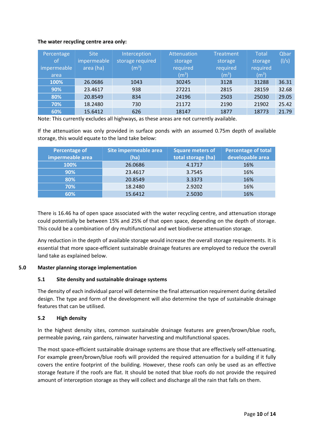# **The water recycling centre area only:**

| Percentage<br><sub>of</sub><br>impermeable<br>area | <b>Site</b><br>impermeable<br>area (ha) | Interception<br>storage required<br>$\rm (m^3)$ | <b>Attenuation</b><br>storage<br>required<br>(m <sup>3</sup> ) | <b>Treatment</b><br>storage<br>required<br>(m <sup>3</sup> ) | <b>Total</b><br>storage<br>required<br>(m <sup>3</sup> ) | Qbar<br>(1/s) |
|----------------------------------------------------|-----------------------------------------|-------------------------------------------------|----------------------------------------------------------------|--------------------------------------------------------------|----------------------------------------------------------|---------------|
| 100%                                               | 26.0686                                 | 1043                                            | 30245                                                          | 3128                                                         | 31288                                                    | 36.31         |
| 90%                                                | 23.4617                                 | 938                                             | 27221                                                          | 2815                                                         | 28159                                                    | 32.68         |
| 80%                                                | 20.8549                                 | 834                                             | 24196                                                          | 2503                                                         | 25030                                                    | 29.05         |
| 70%                                                | 18.2480                                 | 730                                             | 21172                                                          | 2190                                                         | 21902                                                    | 25.42         |
| 60%                                                | 15.6412                                 | 626                                             | 18147                                                          | 1877                                                         | 18773                                                    | 21.79         |

Note: This currently excludes all highways, as these areas are not currently available.

If the attenuation was only provided in surface ponds with an assumed 0.75m depth of available storage, this would equate to the land take below:

| Percentage of    | Site impermeable area | <b>Square meters of</b> | <b>Percentage of total</b> |
|------------------|-----------------------|-------------------------|----------------------------|
| impermeable area | (ha)                  | total storage (ha)      | developable area           |
| 100%             | 26.0686               | 4.1717                  | 16%                        |
| 90%              | 23.4617               | 3.7545                  | 16%                        |
| 80%              | 20.8549               | 3.3373                  | 16%                        |
| 70%              | 18.2480               | 2.9202                  | 16%                        |
| 60%              | 15.6412               | 2.5030                  | 16%                        |

There is 16.46 ha of open space associated with the water recycling centre, and attenuation storage could potentially be between 15% and 25% of that open space, depending on the depth of storage. This could be a combination of dry multifunctional and wet biodiverse attenuation storage.

Any reduction in the depth of available storage would increase the overall storage requirements. It is essential that more space‐efficient sustainable drainage features are employed to reduce the overall land take as explained below.

# **5.0 Master planning storage implementation**

# **5.1 Site density and sustainable drainage systems**

The density of each individual parcel will determine the final attenuation requirement during detailed design. The type and form of the development will also determine the type of sustainable drainage features that can be utilised.

# **5.2 High density**

In the highest density sites, common sustainable drainage features are green/brown/blue roofs, permeable paving, rain gardens, rainwater harvesting and multifunctional spaces.

The most space-efficient sustainable drainage systems are those that are effectively self-attenuating. For example green/brown/blue roofs will provided the required attenuation for a building if it fully covers the entire footprint of the building. However, these roofs can only be used as an effective storage feature if the roofs are flat. It should be noted that blue roofs do not provide the required amount of interception storage as they will collect and discharge all the rain that falls on them.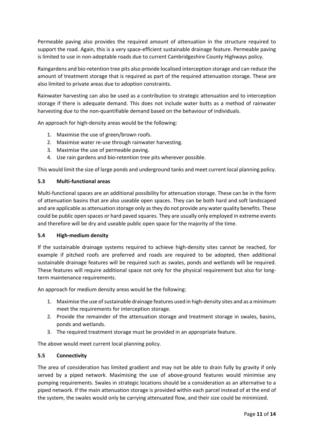Permeable paving also provides the required amount of attenuation in the structure required to support the road. Again, this is a very space-efficient sustainable drainage feature. Permeable paving is limited to use in non‐adoptable roads due to current Cambridgeshire County Highways policy.

Raingardens and bio‐retention tree pits also provide localised interception storage and can reduce the amount of treatment storage that is required as part of the required attenuation storage. These are also limited to private areas due to adoption constraints.

Rainwater harvesting can also be used as a contribution to strategic attenuation and to interception storage if there is adequate demand. This does not include water butts as a method of rainwater harvesting due to the non-quantifiable demand based on the behaviour of individuals.

An approach for high-density areas would be the following:

- 1. Maximise the use of green/brown roofs.
- 2. Maximise water re‐use through rainwater harvesting.
- 3. Maximise the use of permeable paving.
- 4. Use rain gardens and bio-retention tree pits wherever possible.

This would limit the size of large ponds and underground tanks and meet current local planning policy.

# **5.3 Multi‐functional areas**

Multi-functional spaces are an additional possibility for attenuation storage. These can be in the form of attenuation basins that are also useable open spaces. They can be both hard and soft landscaped and are applicable as attenuation storage only asthey do not provide any water quality benefits. These could be public open spaces or hard paved squares. They are usually only employed in extreme events and therefore will be dry and useable public open space for the majority of the time.

# **5.4 High‐medium density**

If the sustainable drainage systems required to achieve high‐density sites cannot be reached, for example if pitched roofs are preferred and roads are required to be adopted, then additional sustainable drainage features will be required such as swales, ponds and wetlands will be required. These features will require additional space not only for the physical requirement but also for longterm maintenance requirements.

An approach for medium density areas would be the following:

- 1. Maximise the use of sustainable drainage features used in high-density sites and as a minimum meet the requirements for interception storage.
- 2. Provide the remainder of the attenuation storage and treatment storage in swales, basins, ponds and wetlands.
- 3. The required treatment storage must be provided in an appropriate feature.

The above would meet current local planning policy.

# **5.5 Connectivity**

The area of consideration has limited gradient and may not be able to drain fully by gravity if only served by a piped network. Maximising the use of above-ground features would minimise any pumping requirements. Swales in strategic locations should be a consideration as an alternative to a piped network. If the main attenuation storage is provided within each parcel instead of at the end of the system, the swales would only be carrying attenuated flow, and their size could be minimized.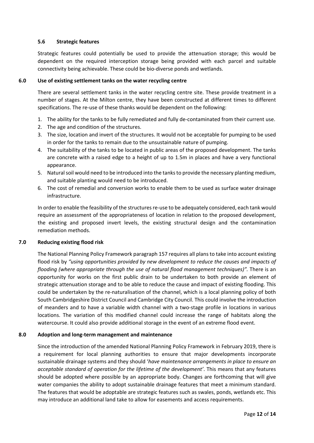# **5.6 Strategic features**

Strategic features could potentially be used to provide the attenuation storage; this would be dependent on the required interception storage being provided with each parcel and suitable connectivity being achievable. These could be bio‐diverse ponds and wetlands.

# **6.0 Use of existing settlement tanks on the water recycling centre**

There are several settlement tanks in the water recycling centre site. These provide treatment in a number of stages. At the Milton centre, they have been constructed at different times to different specifications. The re-use of these thanks would be dependent on the following:

- 1. The ability for the tanks to be fully remediated and fully de‐contaminated from their current use.
- 2. The age and condition of the structures.
- 3. The size, location and invert of the structures. It would not be acceptable for pumping to be used in order for the tanks to remain due to the unsustainable nature of pumping.
- 4. The suitability of the tanks to be located in public areas of the proposed development. The tanks are concrete with a raised edge to a height of up to 1.5m in places and have a very functional appearance.
- 5. Naturalsoil would need to be introduced into the tanksto provide the necessary planting medium, and suitable planting would need to be introduced.
- 6. The cost of remedial and conversion works to enable them to be used as surface water drainage infrastructure.

In order to enable the feasibility of the structures re-use to be adequately considered, each tank would require an assessment of the appropriateness of location in relation to the proposed development, the existing and proposed invert levels, the existing structural design and the contamination remediation methods.

# **7.0 Reducing existing flood risk**

The National Planning Policy Framework paragraph 157 requires all plans to take into account existing flood risk by *"using opportunities provided by new development to reduce the causes and impacts of flooding (where appropriate through the use of natural flood management techniques)".* There is an opportunity for works on the first public drain to be undertaken to both provide an element of strategic attenuation storage and to be able to reduce the cause and impact of existing flooding. This could be undertaken by the re‐naturalisation of the channel, which is a local planning policy of both South Cambridgeshire District Council and Cambridge City Council. This could involve the introduction of meanders and to have a variable width channel with a two‐stage profile in locations in various locations. The variation of this modified channel could increase the range of habitats along the watercourse. It could also provide additional storage in the event of an extreme flood event.

# **8.0 Adoption and long‐term management and maintenance**

Since the introduction of the amended National Planning Policy Framework in February 2019, there is a requirement for local planning authorities to ensure that major developments incorporate sustainable drainage systems and they should '*have maintenance arrangements in place to ensure an acceptable standard of operation for the lifetime of the development'*. This means that any features should be adopted where possible by an appropriate body. Changes are forthcoming that will give water companies the ability to adopt sustainable drainage features that meet a minimum standard. The features that would be adoptable are strategic features such as swales, ponds, wetlands etc. This may introduce an additional land take to allow for easements and access requirements.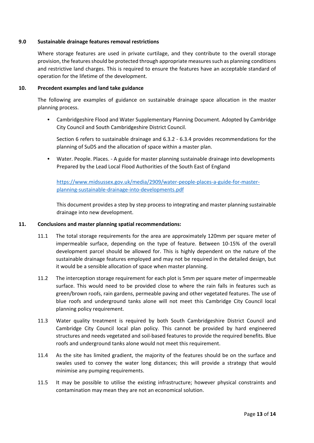## **9.0 Sustainable drainage features removal restrictions**

Where storage features are used in private curtilage, and they contribute to the overall storage provision, the features should be protected through appropriate measures such as planning conditions and restrictive land charges. This is required to ensure the features have an acceptable standard of operation for the lifetime of the development.

## **10. Precedent examples and land take guidance**

The following are examples of guidance on sustainable drainage space allocation in the master planning process.

 Cambridgeshire Flood and Water Supplementary Planning Document. Adopted by Cambridge City Council and South Cambridgeshire District Council.

Section 6 refers to sustainable drainage and 6.3.2 ‐ 6.3.4 provides recommendations for the planning of SuDS and the allocation of space within a master plan.

 Water. People. Places. ‐ A guide for master planning sustainable drainage into developments Prepared by the Lead Local Flood Authorities of the South East of England

https://www.midsussex.gov.uk/media/2909/water‐people‐places‐a‐guide‐for‐master‐ planning‐sustainable‐drainage‐into‐developments.pdf

This document provides a step by step process to integrating and master planning sustainable drainage into new development.

## **11. Conclusions and master planning spatial recommendations:**

- 11.1 The total storage requirements for the area are approximately 120mm per square meter of impermeable surface, depending on the type of feature. Between 10‐15% of the overall development parcel should be allowed for. This is highly dependent on the nature of the sustainable drainage features employed and may not be required in the detailed design, but it would be a sensible allocation of space when master planning.
- 11.2 The interception storage requirement for each plot is 5mm per square meter of impermeable surface. This would need to be provided close to where the rain falls in features such as green/brown roofs, rain gardens, permeable paving and other vegetated features. The use of blue roofs and underground tanks alone will not meet this Cambridge City Council local planning policy requirement.
- 11.3 Water quality treatment is required by both South Cambridgeshire District Council and Cambridge City Council local plan policy. This cannot be provided by hard engineered structures and needs vegetated and soil‐based features to provide the required benefits. Blue roofs and underground tanks alone would not meet this requirement.
- 11.4 As the site has limited gradient, the majority of the features should be on the surface and swales used to convey the water long distances; this will provide a strategy that would minimise any pumping requirements.
- 11.5 It may be possible to utilise the existing infrastructure; however physical constraints and contamination may mean they are not an economical solution.